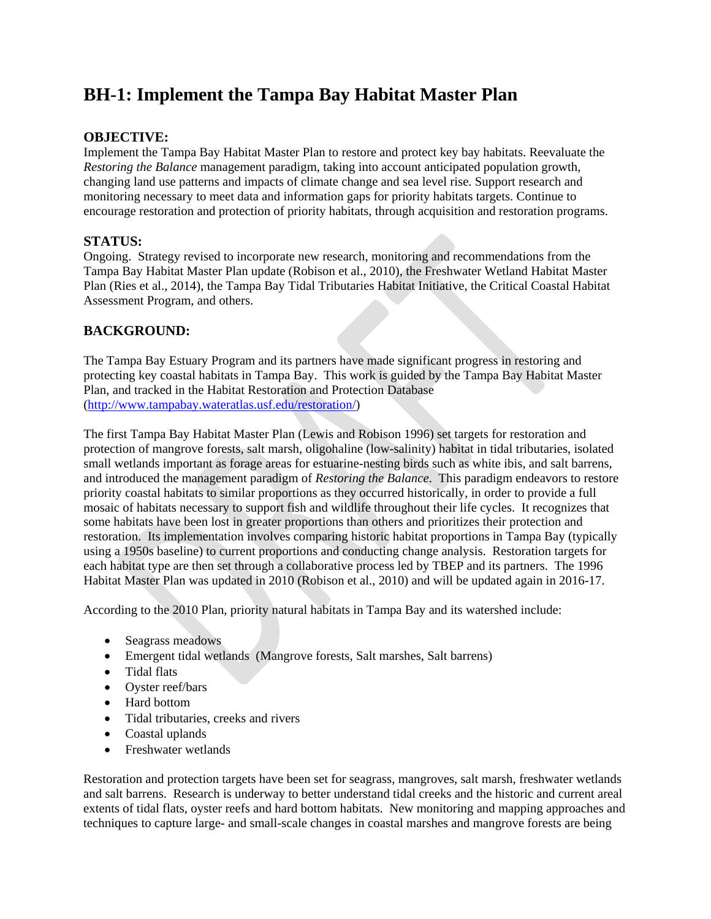# **BH-1: Implement the Tampa Bay Habitat Master Plan**

### **OBJECTIVE:**

Implement the Tampa Bay Habitat Master Plan to restore and protect key bay habitats. Reevaluate the *Restoring the Balance* management paradigm, taking into account anticipated population growth, changing land use patterns and impacts of climate change and sea level rise. Support research and monitoring necessary to meet data and information gaps for priority habitats targets. Continue to encourage restoration and protection of priority habitats, through acquisition and restoration programs.

# **STATUS:**

Ongoing. Strategy revised to incorporate new research, monitoring and recommendations from the Tampa Bay Habitat Master Plan update (Robison et al., 2010), the Freshwater Wetland Habitat Master Plan (Ries et al., 2014), the Tampa Bay Tidal Tributaries Habitat Initiative, the Critical Coastal Habitat Assessment Program, and others.

### **BACKGROUND:**

The Tampa Bay Estuary Program and its partners have made significant progress in restoring and protecting key coastal habitats in Tampa Bay. This work is guided by the Tampa Bay Habitat Master Plan, and tracked in the Habitat Restoration and Protection Database [\(http://www.tampabay.wateratlas.usf.edu/restoration/\)](http://www.tampabay.wateratlas.usf.edu/restoration/)

The first Tampa Bay Habitat Master Plan (Lewis and Robison 1996) set targets for restoration and protection of mangrove forests, salt marsh, oligohaline (low-salinity) habitat in tidal tributaries, isolated small wetlands important as forage areas for estuarine-nesting birds such as white ibis, and salt barrens, and introduced the management paradigm of *Restoring the Balance*. This paradigm endeavors to restore priority coastal habitats to similar proportions as they occurred historically, in order to provide a full mosaic of habitats necessary to support fish and wildlife throughout their life cycles. It recognizes that some habitats have been lost in greater proportions than others and prioritizes their protection and restoration. Its implementation involves comparing historic habitat proportions in Tampa Bay (typically using a 1950s baseline) to current proportions and conducting change analysis. Restoration targets for each habitat type are then set through a collaborative process led by TBEP and its partners. The 1996 Habitat Master Plan was updated in 2010 (Robison et al., 2010) and will be updated again in 2016-17.

According to the 2010 Plan, priority natural habitats in Tampa Bay and its watershed include:

- Seagrass meadows
- Emergent tidal wetlands (Mangrove forests, Salt marshes, Salt barrens)
- Tidal flats
- Oyster reef/bars
- Hard bottom
- Tidal tributaries, creeks and rivers
- Coastal uplands
- Freshwater wetlands

Restoration and protection targets have been set for seagrass, mangroves, salt marsh, freshwater wetlands and salt barrens. Research is underway to better understand tidal creeks and the historic and current areal extents of tidal flats, oyster reefs and hard bottom habitats. New monitoring and mapping approaches and techniques to capture large- and small-scale changes in coastal marshes and mangrove forests are being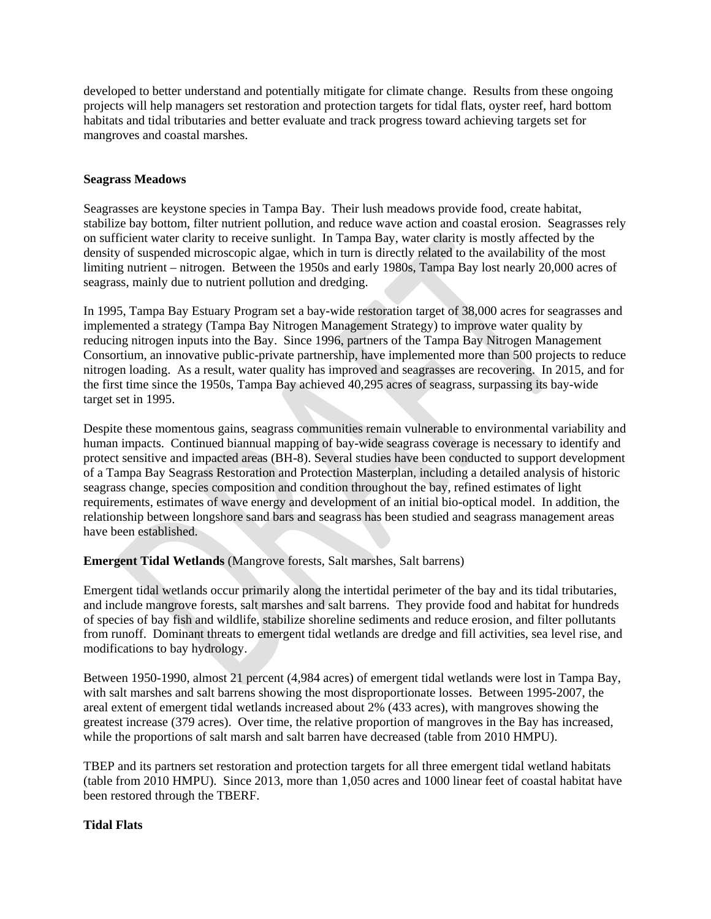developed to better understand and potentially mitigate for climate change. Results from these ongoing projects will help managers set restoration and protection targets for tidal flats, oyster reef, hard bottom habitats and tidal tributaries and better evaluate and track progress toward achieving targets set for mangroves and coastal marshes.

#### **Seagrass Meadows**

Seagrasses are keystone species in Tampa Bay. Their lush meadows provide food, create habitat, stabilize bay bottom, filter nutrient pollution, and reduce wave action and coastal erosion. Seagrasses rely on sufficient water clarity to receive sunlight. In Tampa Bay, water clarity is mostly affected by the density of suspended microscopic algae, which in turn is directly related to the availability of the most limiting nutrient – nitrogen. Between the 1950s and early 1980s, Tampa Bay lost nearly 20,000 acres of seagrass, mainly due to nutrient pollution and dredging.

In 1995, Tampa Bay Estuary Program set a bay-wide restoration target of 38,000 acres for seagrasses and implemented a strategy (Tampa Bay Nitrogen Management Strategy) to improve water quality by reducing nitrogen inputs into the Bay. Since 1996, partners of the Tampa Bay Nitrogen Management Consortium, an innovative public-private partnership, have implemented more than 500 projects to reduce nitrogen loading. As a result, water quality has improved and seagrasses are recovering. In 2015, and for the first time since the 1950s, Tampa Bay achieved 40,295 acres of seagrass, surpassing its bay-wide target set in 1995.

Despite these momentous gains, seagrass communities remain vulnerable to environmental variability and human impacts. Continued biannual mapping of bay-wide seagrass coverage is necessary to identify and protect sensitive and impacted areas (BH-8). Several studies have been conducted to support development of a Tampa Bay Seagrass Restoration and Protection Masterplan, including a detailed analysis of historic seagrass change, species composition and condition throughout the bay, refined estimates of light requirements, estimates of wave energy and development of an initial bio-optical model. In addition, the relationship between longshore sand bars and seagrass has been studied and seagrass management areas have been established.

**Emergent Tidal Wetlands** (Mangrove forests, Salt marshes, Salt barrens)

Emergent tidal wetlands occur primarily along the intertidal perimeter of the bay and its tidal tributaries, and include mangrove forests, salt marshes and salt barrens. They provide food and habitat for hundreds of species of bay fish and wildlife, stabilize shoreline sediments and reduce erosion, and filter pollutants from runoff. Dominant threats to emergent tidal wetlands are dredge and fill activities, sea level rise, and modifications to bay hydrology.

Between 1950-1990, almost 21 percent (4,984 acres) of emergent tidal wetlands were lost in Tampa Bay, with salt marshes and salt barrens showing the most disproportionate losses. Between 1995-2007, the areal extent of emergent tidal wetlands increased about 2% (433 acres), with mangroves showing the greatest increase (379 acres). Over time, the relative proportion of mangroves in the Bay has increased, while the proportions of salt marsh and salt barren have decreased (table from 2010 HMPU).

TBEP and its partners set restoration and protection targets for all three emergent tidal wetland habitats (table from 2010 HMPU). Since 2013, more than 1,050 acres and 1000 linear feet of coastal habitat have been restored through the TBERF.

### **Tidal Flats**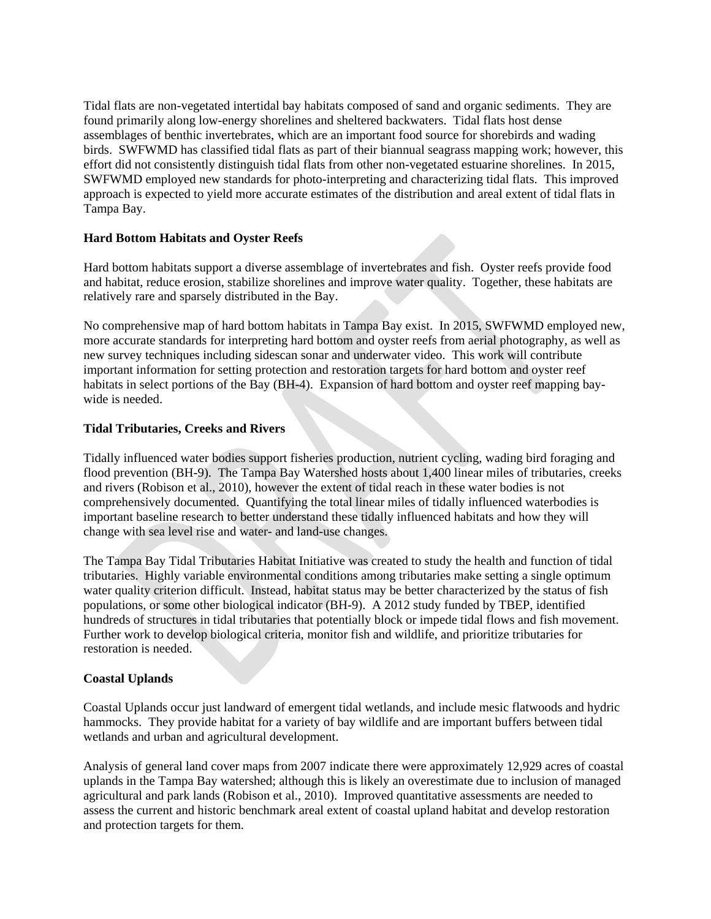Tidal flats are non-vegetated intertidal bay habitats composed of sand and organic sediments. They are found primarily along low-energy shorelines and sheltered backwaters. Tidal flats host dense assemblages of benthic invertebrates, which are an important food source for shorebirds and wading birds. SWFWMD has classified tidal flats as part of their biannual seagrass mapping work; however, this effort did not consistently distinguish tidal flats from other non-vegetated estuarine shorelines. In 2015, SWFWMD employed new standards for photo-interpreting and characterizing tidal flats. This improved approach is expected to yield more accurate estimates of the distribution and areal extent of tidal flats in Tampa Bay.

### **Hard Bottom Habitats and Oyster Reefs**

Hard bottom habitats support a diverse assemblage of invertebrates and fish. Oyster reefs provide food and habitat, reduce erosion, stabilize shorelines and improve water quality. Together, these habitats are relatively rare and sparsely distributed in the Bay.

No comprehensive map of hard bottom habitats in Tampa Bay exist. In 2015, SWFWMD employed new, more accurate standards for interpreting hard bottom and oyster reefs from aerial photography, as well as new survey techniques including sidescan sonar and underwater video. This work will contribute important information for setting protection and restoration targets for hard bottom and oyster reef habitats in select portions of the Bay (BH-4). Expansion of hard bottom and oyster reef mapping baywide is needed.

#### **Tidal Tributaries, Creeks and Rivers**

Tidally influenced water bodies support fisheries production, nutrient cycling, wading bird foraging and flood prevention (BH-9). The Tampa Bay Watershed hosts about 1,400 linear miles of tributaries, creeks and rivers (Robison et al., 2010), however the extent of tidal reach in these water bodies is not comprehensively documented. Quantifying the total linear miles of tidally influenced waterbodies is important baseline research to better understand these tidally influenced habitats and how they will change with sea level rise and water- and land-use changes.

The Tampa Bay Tidal Tributaries Habitat Initiative was created to study the health and function of tidal tributaries. Highly variable environmental conditions among tributaries make setting a single optimum water quality criterion difficult. Instead, habitat status may be better characterized by the status of fish populations, or some other biological indicator (BH-9). A 2012 study funded by TBEP, identified hundreds of structures in tidal tributaries that potentially block or impede tidal flows and fish movement. Further work to develop biological criteria, monitor fish and wildlife, and prioritize tributaries for restoration is needed.

#### **Coastal Uplands**

Coastal Uplands occur just landward of emergent tidal wetlands, and include mesic flatwoods and hydric hammocks. They provide habitat for a variety of bay wildlife and are important buffers between tidal wetlands and urban and agricultural development.

Analysis of general land cover maps from 2007 indicate there were approximately 12,929 acres of coastal uplands in the Tampa Bay watershed; although this is likely an overestimate due to inclusion of managed agricultural and park lands (Robison et al., 2010). Improved quantitative assessments are needed to assess the current and historic benchmark areal extent of coastal upland habitat and develop restoration and protection targets for them.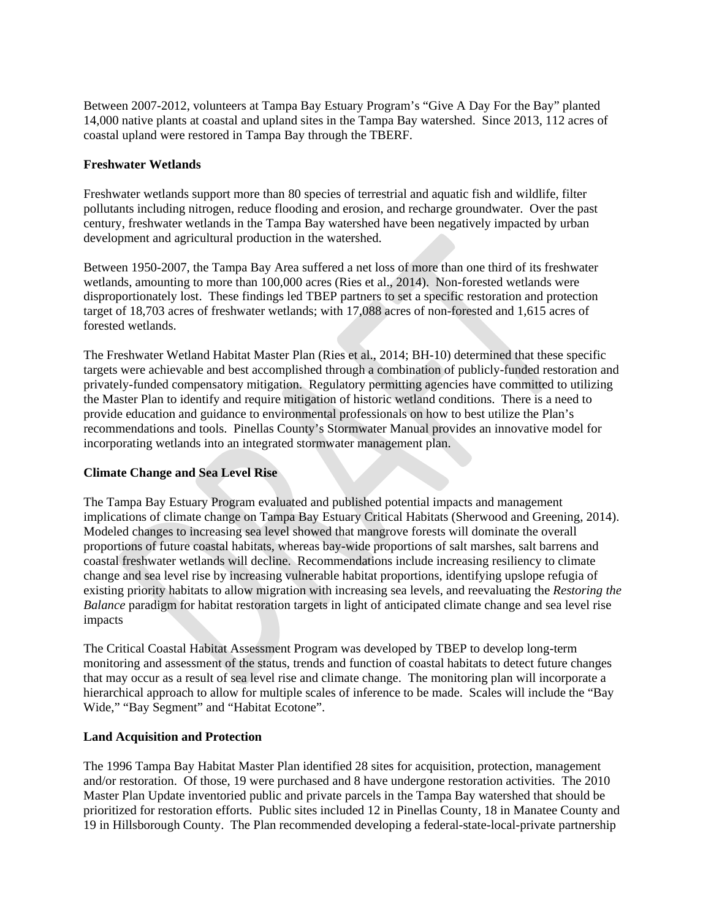Between 2007-2012, volunteers at Tampa Bay Estuary Program's "Give A Day For the Bay" planted 14,000 native plants at coastal and upland sites in the Tampa Bay watershed. Since 2013, 112 acres of coastal upland were restored in Tampa Bay through the TBERF.

### **Freshwater Wetlands**

Freshwater wetlands support more than 80 species of terrestrial and aquatic fish and wildlife, filter pollutants including nitrogen, reduce flooding and erosion, and recharge groundwater. Over the past century, freshwater wetlands in the Tampa Bay watershed have been negatively impacted by urban development and agricultural production in the watershed.

Between 1950-2007, the Tampa Bay Area suffered a net loss of more than one third of its freshwater wetlands, amounting to more than 100,000 acres (Ries et al., 2014). Non-forested wetlands were disproportionately lost. These findings led TBEP partners to set a specific restoration and protection target of 18,703 acres of freshwater wetlands; with 17,088 acres of non-forested and 1,615 acres of forested wetlands.

The Freshwater Wetland Habitat Master Plan (Ries et al., 2014; BH-10) determined that these specific targets were achievable and best accomplished through a combination of publicly-funded restoration and privately-funded compensatory mitigation. Regulatory permitting agencies have committed to utilizing the Master Plan to identify and require mitigation of historic wetland conditions. There is a need to provide education and guidance to environmental professionals on how to best utilize the Plan's recommendations and tools. Pinellas County's Stormwater Manual provides an innovative model for incorporating wetlands into an integrated stormwater management plan.

### **Climate Change and Sea Level Rise**

The Tampa Bay Estuary Program evaluated and published potential impacts and management implications of climate change on Tampa Bay Estuary Critical Habitats (Sherwood and Greening, 2014). Modeled changes to increasing sea level showed that mangrove forests will dominate the overall proportions of future coastal habitats, whereas bay-wide proportions of salt marshes, salt barrens and coastal freshwater wetlands will decline. Recommendations include increasing resiliency to climate change and sea level rise by increasing vulnerable habitat proportions, identifying upslope refugia of existing priority habitats to allow migration with increasing sea levels, and reevaluating the *Restoring the Balance* paradigm for habitat restoration targets in light of anticipated climate change and sea level rise impacts

The Critical Coastal Habitat Assessment Program was developed by TBEP to develop long-term monitoring and assessment of the status, trends and function of coastal habitats to detect future changes that may occur as a result of sea level rise and climate change. The monitoring plan will incorporate a hierarchical approach to allow for multiple scales of inference to be made. Scales will include the "Bay Wide," "Bay Segment" and "Habitat Ecotone".

#### **Land Acquisition and Protection**

The 1996 Tampa Bay Habitat Master Plan identified 28 sites for acquisition, protection, management and/or restoration. Of those, 19 were purchased and 8 have undergone restoration activities. The 2010 Master Plan Update inventoried public and private parcels in the Tampa Bay watershed that should be prioritized for restoration efforts. Public sites included 12 in Pinellas County, 18 in Manatee County and 19 in Hillsborough County. The Plan recommended developing a federal-state-local-private partnership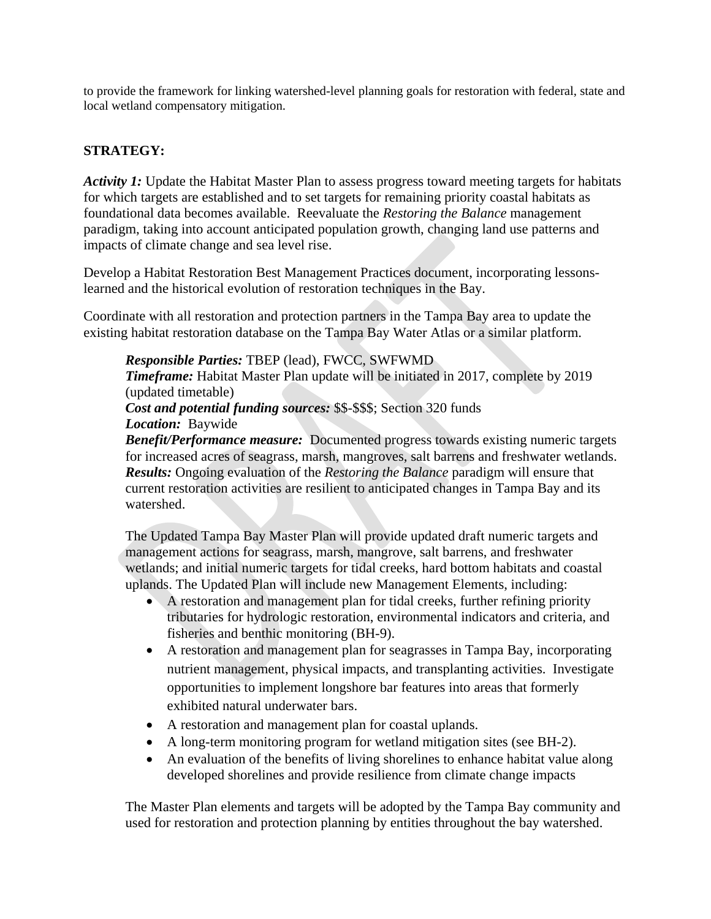to provide the framework for linking watershed-level planning goals for restoration with federal, state and local wetland compensatory mitigation.

# **STRATEGY:**

*Activity 1:* Update the Habitat Master Plan to assess progress toward meeting targets for habitats for which targets are established and to set targets for remaining priority coastal habitats as foundational data becomes available. Reevaluate the *Restoring the Balance* management paradigm, taking into account anticipated population growth, changing land use patterns and impacts of climate change and sea level rise.

Develop a Habitat Restoration Best Management Practices document, incorporating lessonslearned and the historical evolution of restoration techniques in the Bay.

Coordinate with all restoration and protection partners in the Tampa Bay area to update the existing habitat restoration database on the Tampa Bay Water Atlas or a similar platform.

*Responsible Parties:* TBEP (lead), FWCC, SWFWMD

*Timeframe:* Habitat Master Plan update will be initiated in 2017, complete by 2019 (updated timetable)

*Cost and potential funding sources:* \$\$-\$\$\$; Section 320 funds

### *Location:* Baywide

*Benefit/Performance measure:* Documented progress towards existing numeric targets for increased acres of seagrass, marsh, mangroves, salt barrens and freshwater wetlands. *Results:* Ongoing evaluation of the *Restoring the Balance* paradigm will ensure that current restoration activities are resilient to anticipated changes in Tampa Bay and its watershed.

The Updated Tampa Bay Master Plan will provide updated draft numeric targets and management actions for seagrass, marsh, mangrove, salt barrens, and freshwater wetlands; and initial numeric targets for tidal creeks, hard bottom habitats and coastal uplands. The Updated Plan will include new Management Elements, including:

- A restoration and management plan for tidal creeks, further refining priority tributaries for hydrologic restoration, environmental indicators and criteria, and fisheries and benthic monitoring (BH-9).
- A restoration and management plan for seagrasses in Tampa Bay, incorporating nutrient management, physical impacts, and transplanting activities. Investigate opportunities to implement longshore bar features into areas that formerly exhibited natural underwater bars.
- A restoration and management plan for coastal uplands.
- A long-term monitoring program for wetland mitigation sites (see BH-2).
- An evaluation of the benefits of living shorelines to enhance habitat value along developed shorelines and provide resilience from climate change impacts

The Master Plan elements and targets will be adopted by the Tampa Bay community and used for restoration and protection planning by entities throughout the bay watershed.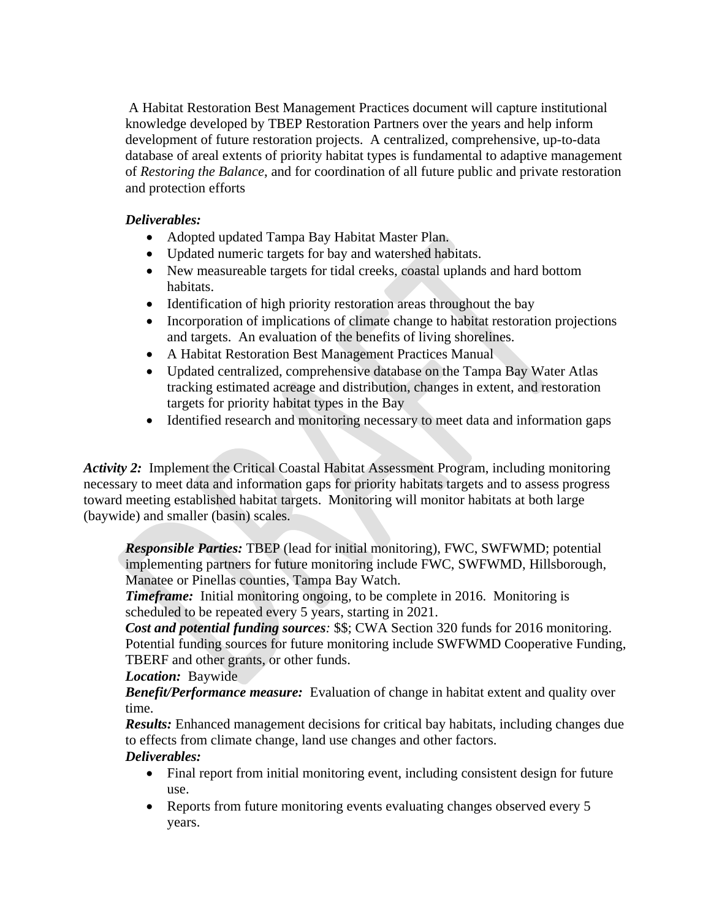A Habitat Restoration Best Management Practices document will capture institutional knowledge developed by TBEP Restoration Partners over the years and help inform development of future restoration projects. A centralized, comprehensive, up-to-data database of areal extents of priority habitat types is fundamental to adaptive management of *Restoring the Balance*, and for coordination of all future public and private restoration and protection efforts

# *Deliverables:*

- Adopted updated Tampa Bay Habitat Master Plan.
- Updated numeric targets for bay and watershed habitats.
- New measureable targets for tidal creeks, coastal uplands and hard bottom habitats.
- Identification of high priority restoration areas throughout the bay
- Incorporation of implications of climate change to habitat restoration projections and targets. An evaluation of the benefits of living shorelines.
- A Habitat Restoration Best Management Practices Manual
- Updated centralized, comprehensive database on the Tampa Bay Water Atlas tracking estimated acreage and distribution, changes in extent, and restoration targets for priority habitat types in the Bay
- Identified research and monitoring necessary to meet data and information gaps

*Activity 2:* Implement the Critical Coastal Habitat Assessment Program, including monitoring necessary to meet data and information gaps for priority habitats targets and to assess progress toward meeting established habitat targets. Monitoring will monitor habitats at both large (baywide) and smaller (basin) scales.

*Responsible Parties:* TBEP (lead for initial monitoring), FWC, SWFWMD; potential implementing partners for future monitoring include FWC, SWFWMD, Hillsborough, Manatee or Pinellas counties, Tampa Bay Watch.

*Timeframe:* Initial monitoring ongoing, to be complete in 2016. Monitoring is scheduled to be repeated every 5 years, starting in 2021.

*Cost and potential funding sources:* \$\$; CWA Section 320 funds for 2016 monitoring. Potential funding sources for future monitoring include SWFWMD Cooperative Funding, TBERF and other grants, or other funds.

*Location:* Baywide

*Benefit/Performance measure:* Evaluation of change in habitat extent and quality over time.

*Results:* Enhanced management decisions for critical bay habitats, including changes due to effects from climate change, land use changes and other factors.

# *Deliverables:*

- Final report from initial monitoring event, including consistent design for future use.
- Reports from future monitoring events evaluating changes observed every 5 years.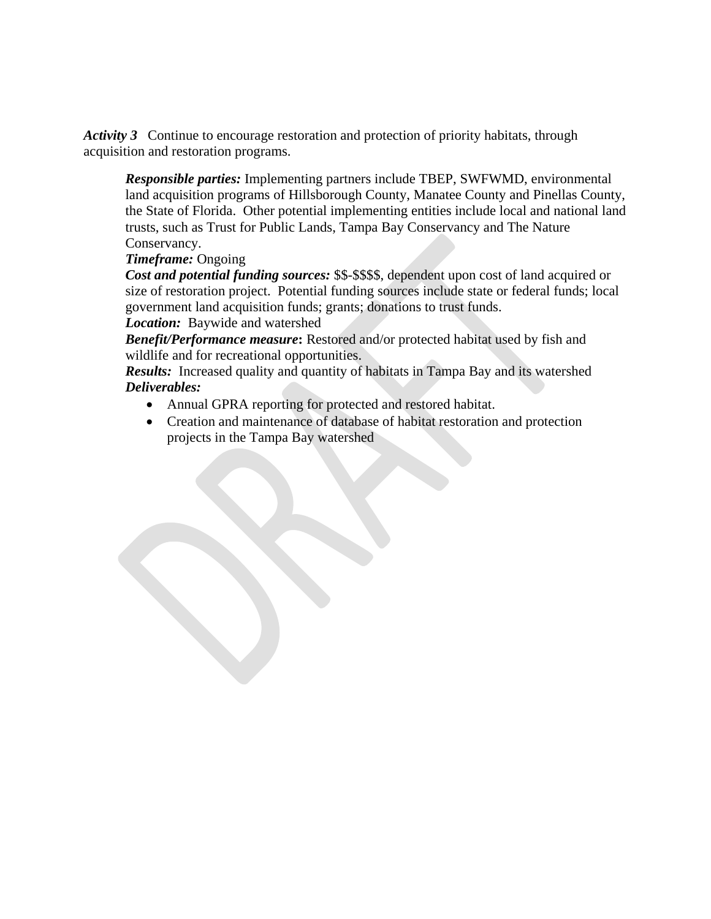*Activity 3* Continue to encourage restoration and protection of priority habitats, through acquisition and restoration programs.

*Responsible parties:* Implementing partners include TBEP, SWFWMD, environmental land acquisition programs of Hillsborough County, Manatee County and Pinellas County, the State of Florida. Other potential implementing entities include local and national land trusts, such as Trust for Public Lands, Tampa Bay Conservancy and The Nature Conservancy.

# *Timeframe:* Ongoing

*Cost and potential funding sources:* \$\$-\$\$\$\$, dependent upon cost of land acquired or size of restoration project. Potential funding sources include state or federal funds; local government land acquisition funds; grants; donations to trust funds.

# *Location:* Baywide and watershed

*Benefit/Performance measure***:** Restored and/or protected habitat used by fish and wildlife and for recreational opportunities.

*Results:* Increased quality and quantity of habitats in Tampa Bay and its watershed *Deliverables:*

- Annual GPRA reporting for protected and restored habitat.
- Creation and maintenance of database of habitat restoration and protection projects in the Tampa Bay watershed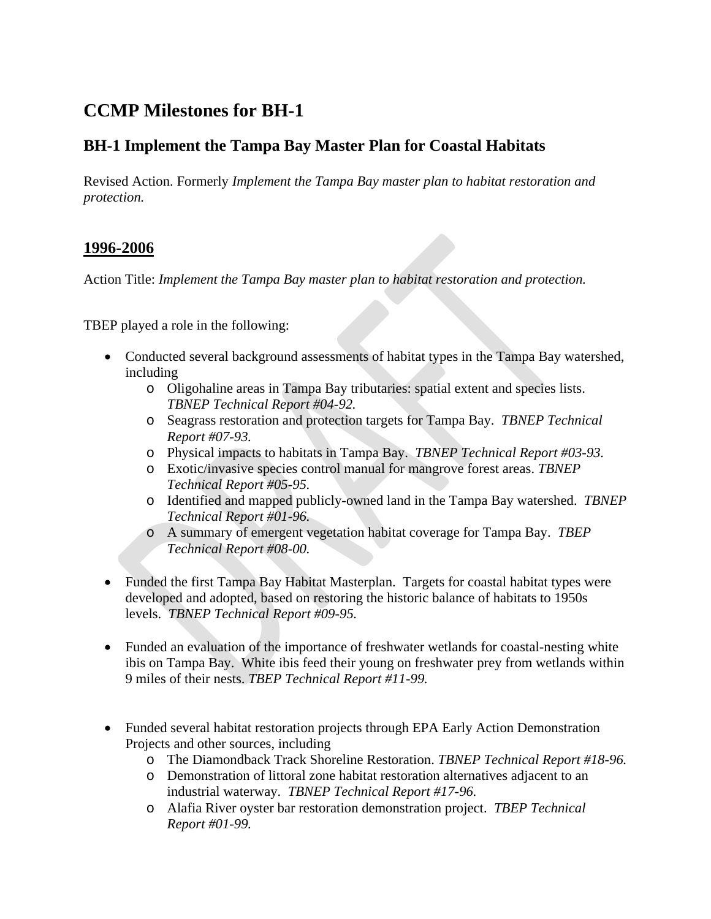# **CCMP Milestones for BH-1**

# **BH-1 Implement the Tampa Bay Master Plan for Coastal Habitats**

Revised Action. Formerly *Implement the Tampa Bay master plan to habitat restoration and protection.*

# **1996-2006**

Action Title: *Implement the Tampa Bay master plan to habitat restoration and protection.*

TBEP played a role in the following:

- Conducted several background assessments of habitat types in the Tampa Bay watershed, including
	- o Oligohaline areas in Tampa Bay tributaries: spatial extent and species lists. *TBNEP Technical Report #04-92.*
	- o Seagrass restoration and protection targets for Tampa Bay. *TBNEP Technical Report #07-93.*
	- o Physical impacts to habitats in Tampa Bay. *TBNEP Technical Report #03-93.*
	- o Exotic/invasive species control manual for mangrove forest areas. *TBNEP Technical Report #05-95.*
	- o Identified and mapped publicly-owned land in the Tampa Bay watershed. *TBNEP Technical Report #01-96.*
	- o A summary of emergent vegetation habitat coverage for Tampa Bay. *TBEP Technical Report #08-00.*
- Funded the first Tampa Bay Habitat Masterplan. Targets for coastal habitat types were developed and adopted, based on restoring the historic balance of habitats to 1950s levels. *TBNEP Technical Report #09-95.*
- Funded an evaluation of the importance of freshwater wetlands for coastal-nesting white ibis on Tampa Bay. White ibis feed their young on freshwater prey from wetlands within 9 miles of their nests. *TBEP Technical Report #11-99.*
- Funded several habitat restoration projects through EPA Early Action Demonstration Projects and other sources, including
	- o The Diamondback Track Shoreline Restoration. *TBNEP Technical Report #18-96.*
	- o Demonstration of littoral zone habitat restoration alternatives adjacent to an industrial waterway. *TBNEP Technical Report #17-96.*
	- o Alafia River oyster bar restoration demonstration project. *TBEP Technical Report #01-99.*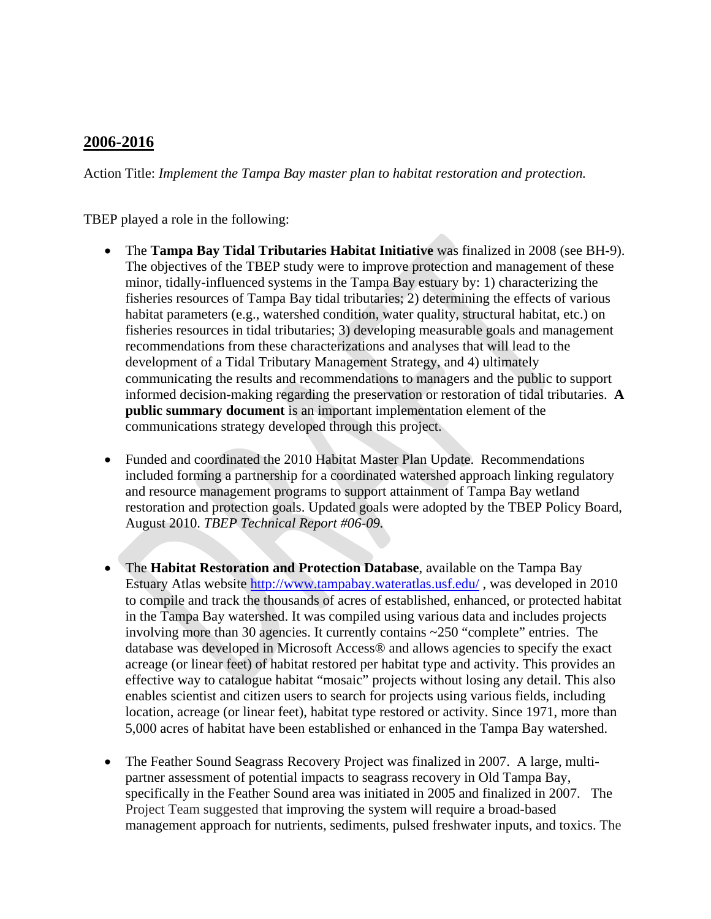# **2006-2016**

Action Title: *Implement the Tampa Bay master plan to habitat restoration and protection.*

TBEP played a role in the following:

- The **Tampa Bay Tidal Tributaries Habitat Initiative** was finalized in 2008 (see BH-9). The objectives of the TBEP study were to improve protection and management of these minor, tidally-influenced systems in the Tampa Bay estuary by: 1) characterizing the fisheries resources of Tampa Bay tidal tributaries; 2) determining the effects of various habitat parameters (e.g., watershed condition, water quality, structural habitat, etc.) on fisheries resources in tidal tributaries; 3) developing measurable goals and management recommendations from these characterizations and analyses that will lead to the development of a Tidal Tributary Management Strategy, and 4) ultimately communicating the results and recommendations to managers and the public to support informed decision-making regarding the preservation or restoration of tidal tributaries. **A public summary document** is an important implementation element of the communications strategy developed through this project.
- Funded and coordinated the 2010 Habitat Master Plan Update. Recommendations included forming a partnership for a coordinated watershed approach linking regulatory and resource management programs to support attainment of Tampa Bay wetland restoration and protection goals. Updated goals were adopted by the TBEP Policy Board, August 2010. *TBEP Technical Report #06-09.*
- The **Habitat Restoration and Protection Database**, available on the Tampa Bay Estuary Atlas website<http://www.tampabay.wateratlas.usf.edu/> , was developed in 2010 to compile and track the thousands of acres of established, enhanced, or protected habitat in the Tampa Bay watershed. It was compiled using various data and includes projects involving more than 30 agencies. It currently contains ~250 "complete" entries. The database was developed in Microsoft Access® and allows agencies to specify the exact acreage (or linear feet) of habitat restored per habitat type and activity. This provides an effective way to catalogue habitat "mosaic" projects without losing any detail. This also enables scientist and citizen users to search for projects using various fields, including location, acreage (or linear feet), habitat type restored or activity. Since 1971, more than 5,000 acres of habitat have been established or enhanced in the Tampa Bay watershed.
- The Feather Sound Seagrass Recovery Project was finalized in 2007. A large, multipartner assessment of potential impacts to seagrass recovery in Old Tampa Bay, specifically in the Feather Sound area was initiated in 2005 and finalized in 2007. The Project Team suggested that improving the system will require a broad-based management approach for nutrients, sediments, pulsed freshwater inputs, and toxics. The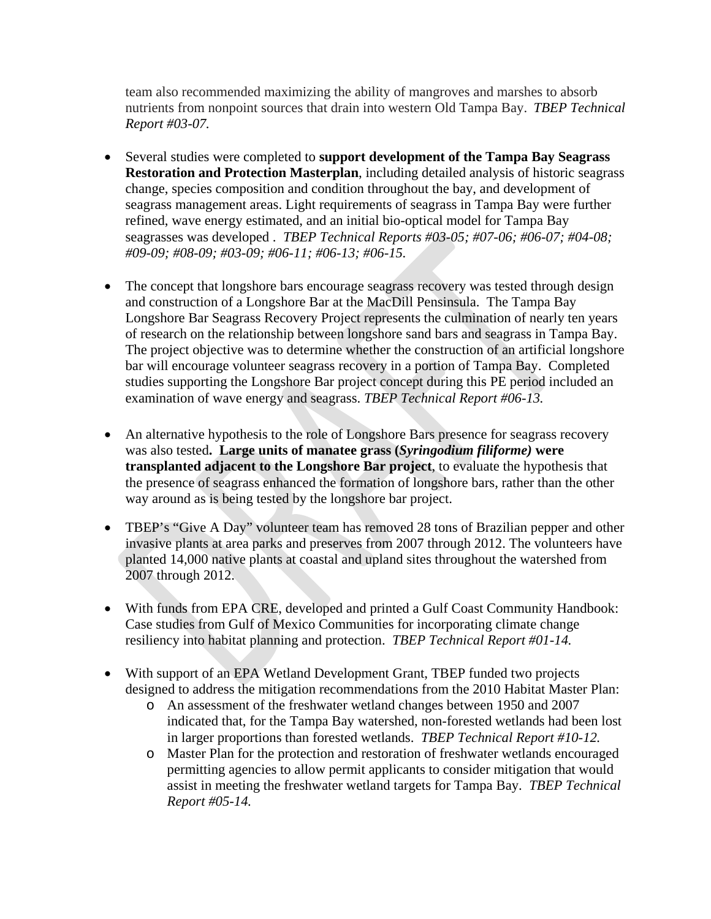team also recommended maximizing the ability of mangroves and marshes to absorb nutrients from nonpoint sources that drain into western Old Tampa Bay. *TBEP Technical Report #03-07.* 

- Several studies were completed to **support development of the Tampa Bay Seagrass Restoration and Protection Masterplan**, including detailed analysis of historic seagrass change, species composition and condition throughout the bay, and development of seagrass management areas. Light requirements of seagrass in Tampa Bay were further refined, wave energy estimated, and an initial bio-optical model for Tampa Bay seagrasses was developed . *TBEP Technical Reports #03-05; #07-06; #06-07; #04-08; #09-09; #08-09; #03-09; #06-11; #06-13; #06-15.*
- The concept that longshore bars encourage seagrass recovery was tested through design and construction of a Longshore Bar at the MacDill Pensinsula. The Tampa Bay Longshore Bar Seagrass Recovery Project represents the culmination of nearly ten years of research on the relationship between longshore sand bars and seagrass in Tampa Bay. The project objective was to determine whether the construction of an artificial longshore bar will encourage volunteer seagrass recovery in a portion of Tampa Bay. Completed studies supporting the Longshore Bar project concept during this PE period included an examination of wave energy and seagrass. *TBEP Technical Report #06-13.*
- An alternative hypothesis to the role of Longshore Bars presence for seagrass recovery was also tested**. Large units of manatee grass (***Syringodium filiforme)* **were transplanted adjacent to the Longshore Bar project**, to evaluate the hypothesis that the presence of seagrass enhanced the formation of longshore bars, rather than the other way around as is being tested by the longshore bar project.
- TBEP's "Give A Day" volunteer team has removed 28 tons of Brazilian pepper and other invasive plants at area parks and preserves from 2007 through 2012. The volunteers have planted 14,000 native plants at coastal and upland sites throughout the watershed from 2007 through 2012.
- With funds from EPA CRE, developed and printed a Gulf Coast Community Handbook: Case studies from Gulf of Mexico Communities for incorporating climate change resiliency into habitat planning and protection. *TBEP Technical Report #01-14.*
- With support of an EPA Wetland Development Grant, TBEP funded two projects designed to address the mitigation recommendations from the 2010 Habitat Master Plan:
	- o An assessment of the freshwater wetland changes between 1950 and 2007 indicated that, for the Tampa Bay watershed, non-forested wetlands had been lost in larger proportions than forested wetlands. *TBEP Technical Report #10-12.*
	- o Master Plan for the protection and restoration of freshwater wetlands encouraged permitting agencies to allow permit applicants to consider mitigation that would assist in meeting the freshwater wetland targets for Tampa Bay. *TBEP Technical Report #05-14.*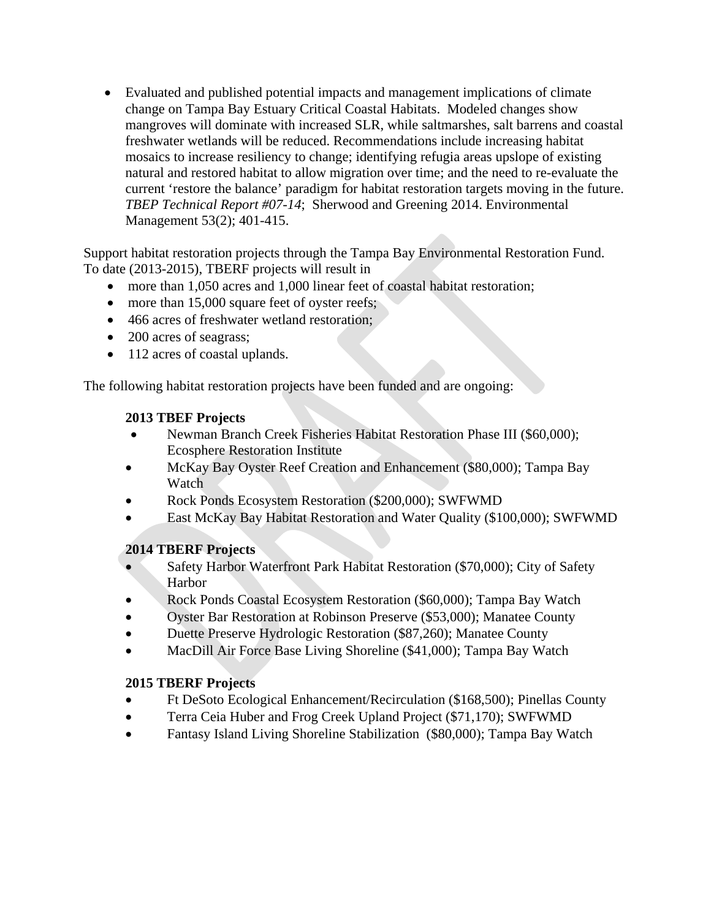• Evaluated and published potential impacts and management implications of climate change on Tampa Bay Estuary Critical Coastal Habitats. Modeled changes show mangroves will dominate with increased SLR, while saltmarshes, salt barrens and coastal freshwater wetlands will be reduced. Recommendations include increasing habitat mosaics to increase resiliency to change; identifying refugia areas upslope of existing natural and restored habitat to allow migration over time; and the need to re-evaluate the current 'restore the balance' paradigm for habitat restoration targets moving in the future. *TBEP Technical Report #07-14*; Sherwood and Greening 2014. Environmental Management 53(2); 401-415.

Support habitat restoration projects through the Tampa Bay Environmental Restoration Fund. To date (2013-2015), TBERF projects will result in

- more than 1,050 acres and 1,000 linear feet of coastal habitat restoration;
- more than 15,000 square feet of oyster reefs;
- 466 acres of freshwater wetland restoration;
- 200 acres of seagrass;
- 112 acres of coastal uplands.

The following habitat restoration projects have been funded and are ongoing:

# **2013 TBEF Projects**

- Newman Branch Creek Fisheries Habitat Restoration Phase III (\$60,000); Ecosphere Restoration Institute
- McKay Bay Oyster Reef Creation and Enhancement (\$80,000); Tampa Bay Watch
- Rock Ponds Ecosystem Restoration (\$200,000); SWFWMD
- East McKay Bay Habitat Restoration and Water Quality (\$100,000); SWFWMD

# **2014 TBERF Projects**

- Safety Harbor Waterfront Park Habitat Restoration (\$70,000); City of Safety Harbor
- Rock Ponds Coastal Ecosystem Restoration (\$60,000); Tampa Bay Watch
- Oyster Bar Restoration at Robinson Preserve (\$53,000); Manatee County
- Duette Preserve Hydrologic Restoration (\$87,260); Manatee County
- MacDill Air Force Base Living Shoreline (\$41,000); Tampa Bay Watch

# **2015 TBERF Projects**

- Ft DeSoto Ecological Enhancement/Recirculation (\$168,500); Pinellas County
- Terra Ceia Huber and Frog Creek Upland Project (\$71,170); SWFWMD
- Fantasy Island Living Shoreline Stabilization (\$80,000); Tampa Bay Watch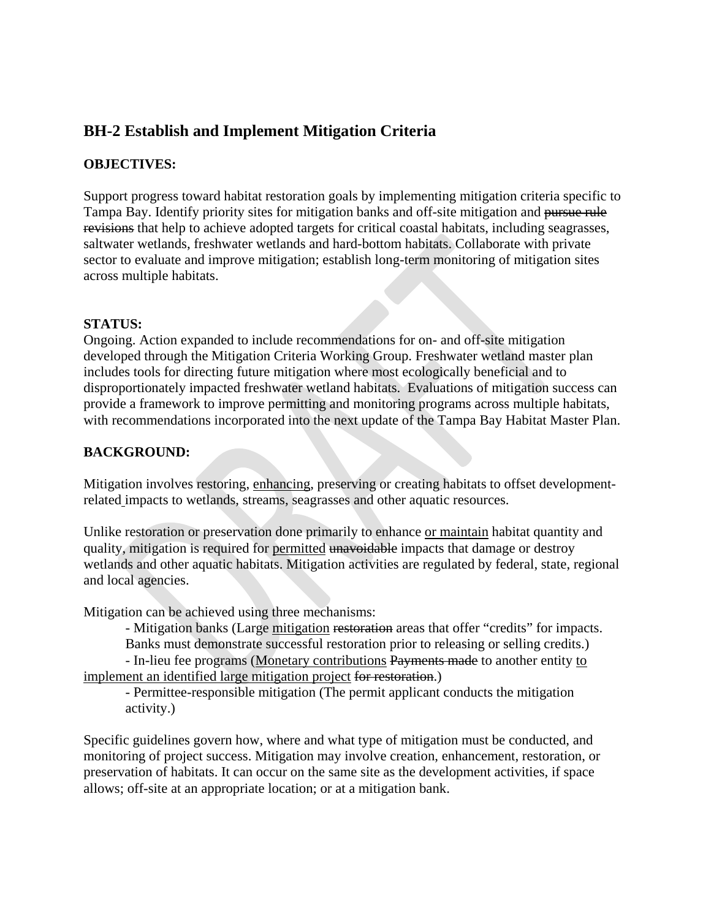# **BH-2 Establish and Implement Mitigation Criteria**

# **OBJECTIVES:**

Support progress toward habitat restoration goals by implementing mitigation criteria specific to Tampa Bay. Identify priority sites for mitigation banks and off-site mitigation and pursue rule revisions that help to achieve adopted targets for critical coastal habitats, including seagrasses, saltwater wetlands, freshwater wetlands and hard-bottom habitats. Collaborate with private sector to evaluate and improve mitigation; establish long-term monitoring of mitigation sites across multiple habitats.

### **STATUS:**

Ongoing. Action expanded to include recommendations for on- and off-site mitigation developed through the Mitigation Criteria Working Group. Freshwater wetland master plan includes tools for directing future mitigation where most ecologically beneficial and to disproportionately impacted freshwater wetland habitats. Evaluations of mitigation success can provide a framework to improve permitting and monitoring programs across multiple habitats, with recommendations incorporated into the next update of the Tampa Bay Habitat Master Plan.

# **BACKGROUND:**

Mitigation involves restoring, enhancing, preserving or creating habitats to offset developmentrelated impacts to wetlands, streams, seagrasses and other aquatic resources.

Unlike restoration or preservation done primarily to enhance or maintain habitat quantity and quality, mitigation is required for permitted unavoidable impacts that damage or destroy wetlands and other aquatic habitats. Mitigation activities are regulated by federal, state, regional and local agencies.

Mitigation can be achieved using three mechanisms:

- Mitigation banks (Large mitigation restoration areas that offer "credits" for impacts. Banks must demonstrate successful restoration prior to releasing or selling credits.)

- In-lieu fee programs (Monetary contributions Payments made to another entity to implement an identified large mitigation project for restoration.)

- Permittee-responsible mitigation (The permit applicant conducts the mitigation activity.)

Specific guidelines govern how, where and what type of mitigation must be conducted, and monitoring of project success. Mitigation may involve creation, enhancement, restoration, or preservation of habitats. It can occur on the same site as the development activities, if space allows; off-site at an appropriate location; or at a mitigation bank.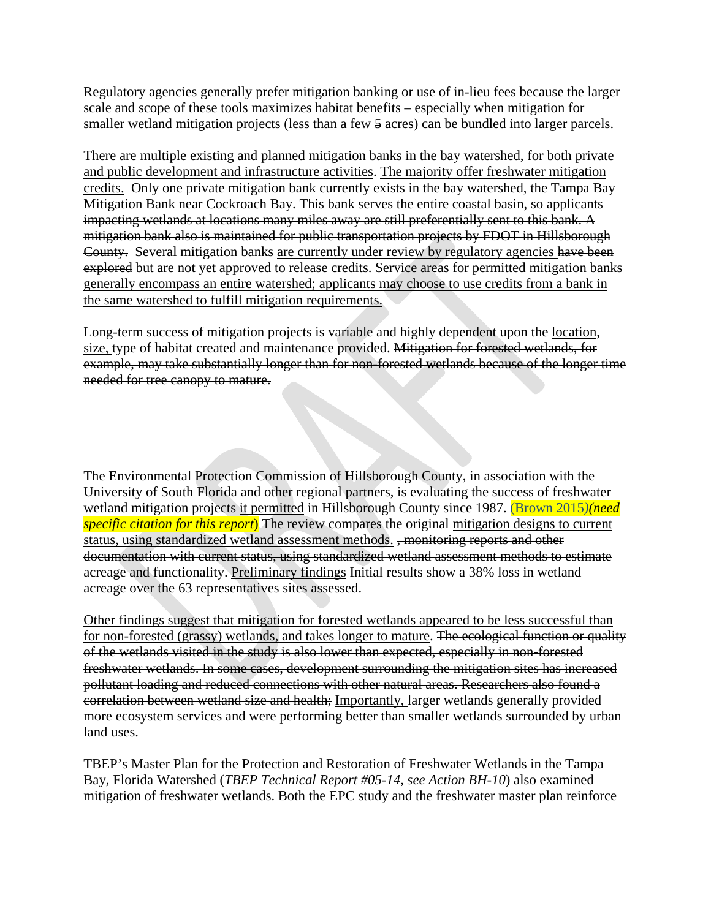Regulatory agencies generally prefer mitigation banking or use of in-lieu fees because the larger scale and scope of these tools maximizes habitat benefits – especially when mitigation for smaller wetland mitigation projects (less than a few 5 acres) can be bundled into larger parcels.

There are multiple existing and planned mitigation banks in the bay watershed, for both private and public development and infrastructure activities. The majority offer freshwater mitigation credits. Only one private mitigation bank currently exists in the bay watershed, the Tampa Bay Mitigation Bank near Cockroach Bay. This bank serves the entire coastal basin, so applicants impacting wetlands at locations many miles away are still preferentially sent to this bank. A mitigation bank also is maintained for public transportation projects by FDOT in Hillsborough County. Several mitigation banks are currently under review by regulatory agencies have been explored but are not yet approved to release credits. Service areas for permitted mitigation banks generally encompass an entire watershed; applicants may choose to use credits from a bank in the same watershed to fulfill mitigation requirements.

Long-term success of mitigation projects is variable and highly dependent upon the location, size, type of habitat created and maintenance provided. Mitigation for forested wetlands, for example, may take substantially longer than for non-forested wetlands because of the longer time needed for tree canopy to mature.

The Environmental Protection Commission of Hillsborough County, in association with the University of South Florida and other regional partners, is evaluating the success of freshwater wetland mitigation projects it permitted in Hillsborough County since 1987. (Brown 2015*)(need specific citation for this report*) The review compares the original mitigation designs to current status, using standardized wetland assessment methods. , monitoring reports and other documentation with current status, using standardized wetland assessment methods to estimate acreage and functionality. Preliminary findings Initial results show a 38% loss in wetland acreage over the 63 representatives sites assessed.

Other findings suggest that mitigation for forested wetlands appeared to be less successful than for non-forested (grassy) wetlands, and takes longer to mature. The ecological function or quality of the wetlands visited in the study is also lower than expected, especially in non-forested freshwater wetlands. In some cases, development surrounding the mitigation sites has increased pollutant loading and reduced connections with other natural areas. Researchers also found a correlation between wetland size and health; Importantly, larger wetlands generally provided more ecosystem services and were performing better than smaller wetlands surrounded by urban land uses.

TBEP's Master Plan for the Protection and Restoration of Freshwater Wetlands in the Tampa Bay, Florida Watershed (*TBEP Technical Report #05-14, see Action BH-10*) also examined mitigation of freshwater wetlands. Both the EPC study and the freshwater master plan reinforce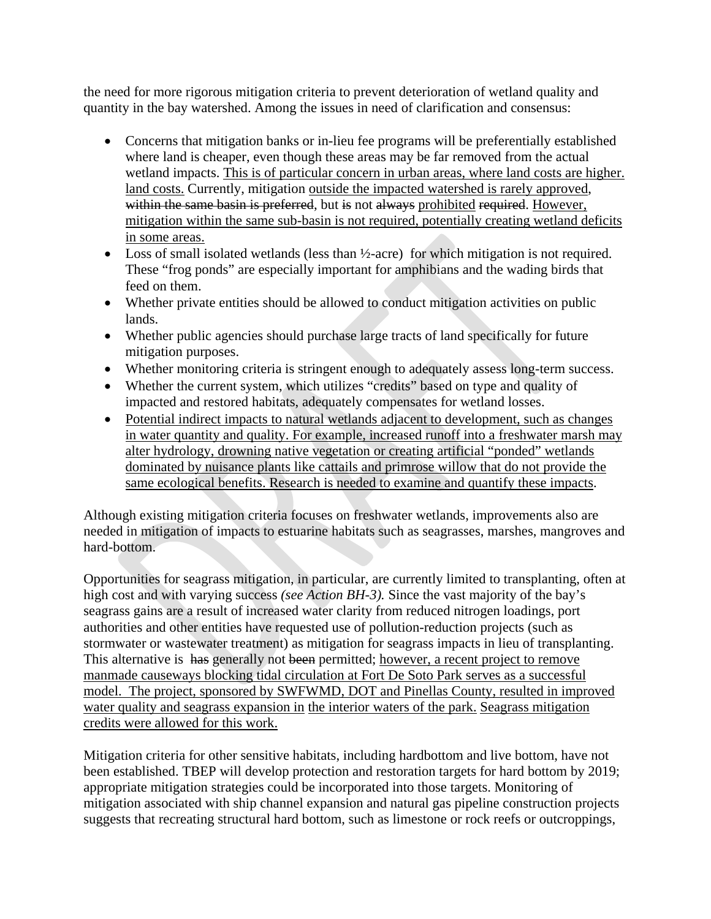the need for more rigorous mitigation criteria to prevent deterioration of wetland quality and quantity in the bay watershed. Among the issues in need of clarification and consensus:

- Concerns that mitigation banks or in-lieu fee programs will be preferentially established where land is cheaper, even though these areas may be far removed from the actual wetland impacts. This is of particular concern in urban areas, where land costs are higher. land costs. Currently, mitigation outside the impacted watershed is rarely approved, within the same basin is preferred, but is not always prohibited required. However, mitigation within the same sub-basin is not required, potentially creating wetland deficits in some areas.
- Loss of small isolated wetlands (less than  $\frac{1}{2}$ -acre) for which mitigation is not required. These "frog ponds" are especially important for amphibians and the wading birds that feed on them.
- Whether private entities should be allowed to conduct mitigation activities on public lands.
- Whether public agencies should purchase large tracts of land specifically for future mitigation purposes.
- Whether monitoring criteria is stringent enough to adequately assess long-term success.
- Whether the current system, which utilizes "credits" based on type and quality of impacted and restored habitats, adequately compensates for wetland losses.
- Potential indirect impacts to natural wetlands adjacent to development, such as changes in water quantity and quality. For example, increased runoff into a freshwater marsh may alter hydrology, drowning native vegetation or creating artificial "ponded" wetlands dominated by nuisance plants like cattails and primrose willow that do not provide the same ecological benefits. Research is needed to examine and quantify these impacts.

Although existing mitigation criteria focuses on freshwater wetlands, improvements also are needed in mitigation of impacts to estuarine habitats such as seagrasses, marshes, mangroves and hard-bottom.

Opportunities for seagrass mitigation, in particular, are currently limited to transplanting, often at high cost and with varying success *(see Action BH-3).* Since the vast majority of the bay's seagrass gains are a result of increased water clarity from reduced nitrogen loadings, port authorities and other entities have requested use of pollution-reduction projects (such as stormwater or wastewater treatment) as mitigation for seagrass impacts in lieu of transplanting. This alternative is has generally not been permitted; however, a recent project to remove manmade causeways blocking tidal circulation at Fort De Soto Park serves as a successful model. The project, sponsored by SWFWMD, DOT and Pinellas County, resulted in improved water quality and seagrass expansion in the interior waters of the park. Seagrass mitigation credits were allowed for this work.

Mitigation criteria for other sensitive habitats, including hardbottom and live bottom, have not been established. TBEP will develop protection and restoration targets for hard bottom by 2019; appropriate mitigation strategies could be incorporated into those targets. Monitoring of mitigation associated with ship channel expansion and natural gas pipeline construction projects suggests that recreating structural hard bottom, such as limestone or rock reefs or outcroppings,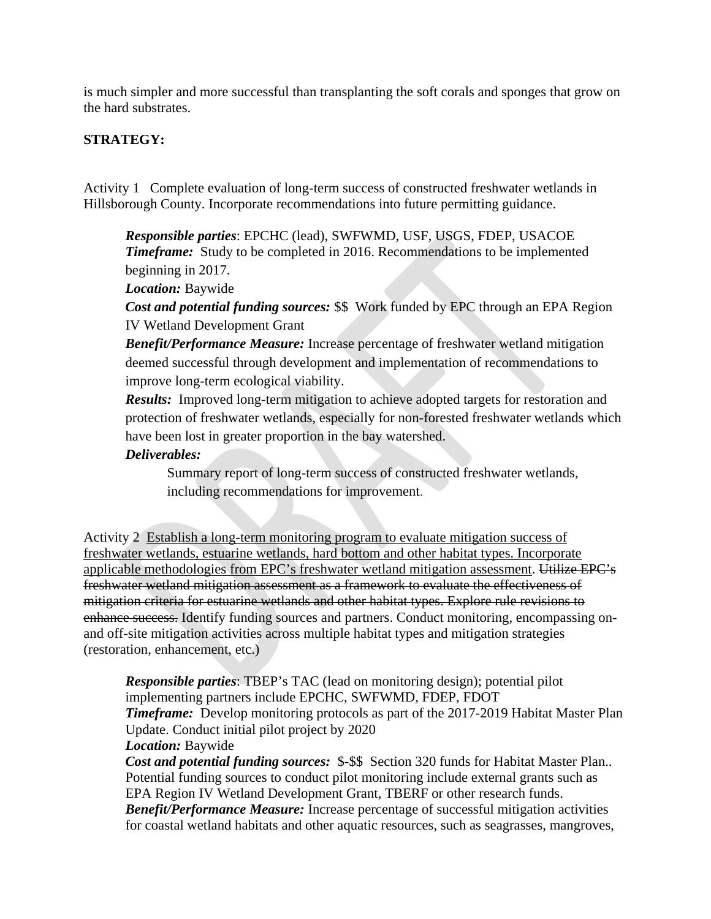is much simpler and more successful than transplanting the soft corals and sponges that grow on the hard substrates.

# **STRATEGY:**

Activity 1 Complete evaluation of long-term success of constructed freshwater wetlands in Hillsborough County. Incorporate recommendations into future permitting guidance.

*Responsible parties*: EPCHC (lead), SWFWMD, USF, USGS, FDEP, USACOE **Timeframe:** Study to be completed in 2016. Recommendations to be implemented beginning in 2017.

*Location:* Baywide

*Cost and potential funding sources:* \$\$ Work funded by EPC through an EPA Region IV Wetland Development Grant

*Benefit/Performance Measure:* Increase percentage of freshwater wetland mitigation deemed successful through development and implementation of recommendations to improve long-term ecological viability.

*Results:* Improved long-term mitigation to achieve adopted targets for restoration and protection of freshwater wetlands, especially for non-forested freshwater wetlands which have been lost in greater proportion in the bay watershed.

# *Deliverables:*

Summary report of long-term success of constructed freshwater wetlands, including recommendations for improvement.

Activity 2 Establish a long-term monitoring program to evaluate mitigation success of freshwater wetlands, estuarine wetlands, hard bottom and other habitat types. Incorporate applicable methodologies from EPC's freshwater wetland mitigation assessment. Utilize EPC's freshwater wetland mitigation assessment as a framework to evaluate the effectiveness of mitigation criteria for estuarine wetlands and other habitat types. Explore rule revisions to enhance success. Identify funding sources and partners. Conduct monitoring, encompassing onand off-site mitigation activities across multiple habitat types and mitigation strategies (restoration, enhancement, etc.)

*Responsible parties*: TBEP's TAC (lead on monitoring design); potential pilot implementing partners include EPCHC, SWFWMD, FDEP, FDOT *Timeframe:* Develop monitoring protocols as part of the 2017-2019 Habitat Master Plan Update. Conduct initial pilot project by 2020

### *Location:* Baywide

*Cost and potential funding sources:* \$-\$\$ Section 320 funds for Habitat Master Plan.. Potential funding sources to conduct pilot monitoring include external grants such as EPA Region IV Wetland Development Grant, TBERF or other research funds. *Benefit/Performance Measure:* Increase percentage of successful mitigation activities for coastal wetland habitats and other aquatic resources, such as seagrasses, mangroves,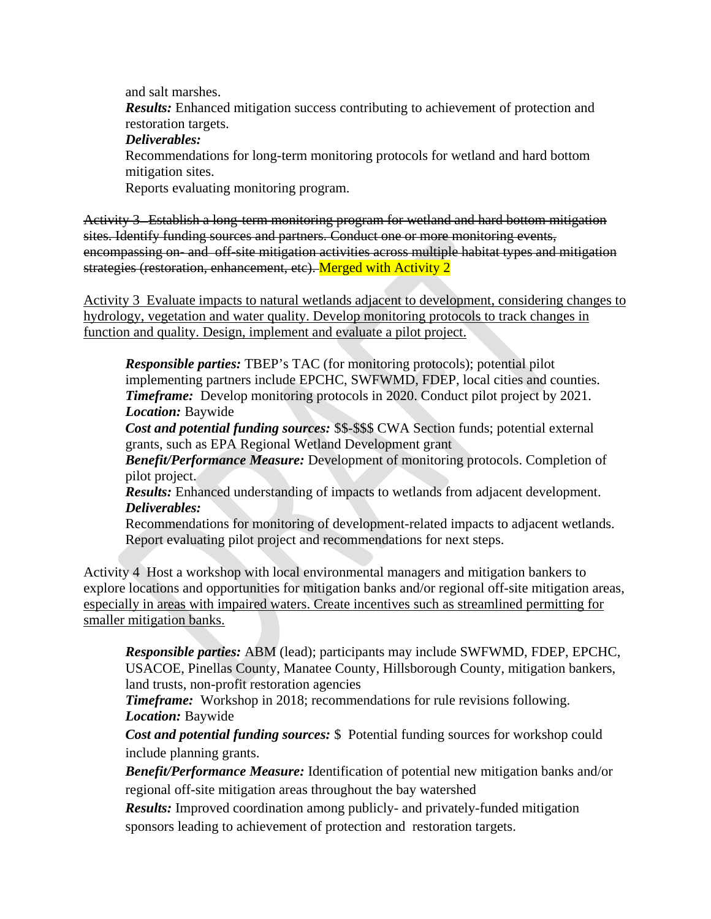and salt marshes.

*Results:* Enhanced mitigation success contributing to achievement of protection and restoration targets.

*Deliverables:* 

Recommendations for long-term monitoring protocols for wetland and hard bottom mitigation sites.

Reports evaluating monitoring program.

Activity 3 Establish a long-term monitoring program for wetland and hard bottom mitigation sites. Identify funding sources and partners. Conduct one or more monitoring events, encompassing on- and off-site mitigation activities across multiple habitat types and mitigation strategies (restoration, enhancement, etc). Merged with Activity 2

Activity 3 Evaluate impacts to natural wetlands adjacent to development, considering changes to hydrology, vegetation and water quality. Develop monitoring protocols to track changes in function and quality. Design, implement and evaluate a pilot project.

*Responsible parties:* TBEP's TAC (for monitoring protocols); potential pilot implementing partners include EPCHC, SWFWMD, FDEP, local cities and counties. *Timeframe:* Develop monitoring protocols in 2020. Conduct pilot project by 2021. *Location:* Baywide

*Cost and potential funding sources:* \$\$-\$\$\$ CWA Section funds; potential external grants, such as EPA Regional Wetland Development grant

*Benefit/Performance Measure:* Development of monitoring protocols. Completion of pilot project.

*Results:* Enhanced understanding of impacts to wetlands from adjacent development. *Deliverables:* 

Recommendations for monitoring of development-related impacts to adjacent wetlands. Report evaluating pilot project and recommendations for next steps.

Activity 4 Host a workshop with local environmental managers and mitigation bankers to explore locations and opportunities for mitigation banks and/or regional off-site mitigation areas, especially in areas with impaired waters. Create incentives such as streamlined permitting for smaller mitigation banks.

*Responsible parties:* ABM (lead); participants may include SWFWMD, FDEP, EPCHC, USACOE, Pinellas County, Manatee County, Hillsborough County, mitigation bankers, land trusts, non-profit restoration agencies

*Timeframe:* Workshop in 2018; recommendations for rule revisions following. *Location:* Baywide

*Cost and potential funding sources:* \$ Potential funding sources for workshop could include planning grants.

*Benefit/Performance Measure:* Identification of potential new mitigation banks and/or regional off-site mitigation areas throughout the bay watershed

*Results:* Improved coordination among publicly- and privately-funded mitigation sponsors leading to achievement of protection and restoration targets.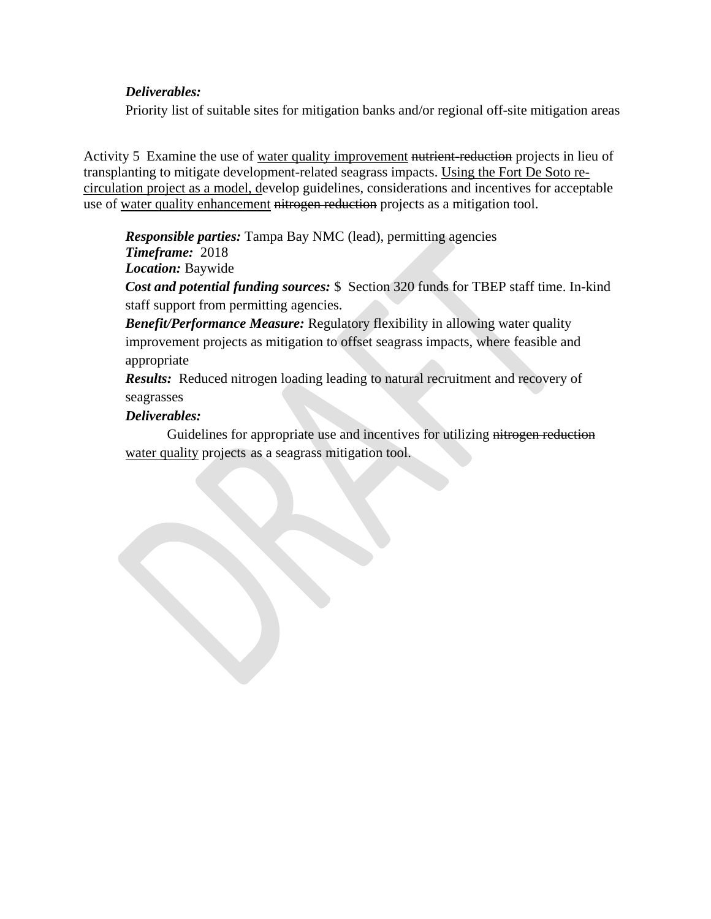# *Deliverables:*

Priority list of suitable sites for mitigation banks and/or regional off-site mitigation areas

Activity 5 Examine the use of water quality improvement nutrient-reduction projects in lieu of transplanting to mitigate development-related seagrass impacts. Using the Fort De Soto recirculation project as a model, develop guidelines, considerations and incentives for acceptable use of water quality enhancement nitrogen reduction projects as a mitigation tool.

*Responsible parties:* Tampa Bay NMC (lead), permitting agencies

*Timeframe:* 2018

*Location:* Baywide

*Cost and potential funding sources:* \$ Section 320 funds for TBEP staff time. In-kind staff support from permitting agencies.

*Benefit/Performance Measure:* Regulatory flexibility in allowing water quality improvement projects as mitigation to offset seagrass impacts, where feasible and appropriate

*Results:* Reduced nitrogen loading leading to natural recruitment and recovery of seagrasses

# *Deliverables:*

Guidelines for appropriate use and incentives for utilizing nitrogen reduction water quality projects as a seagrass mitigation tool.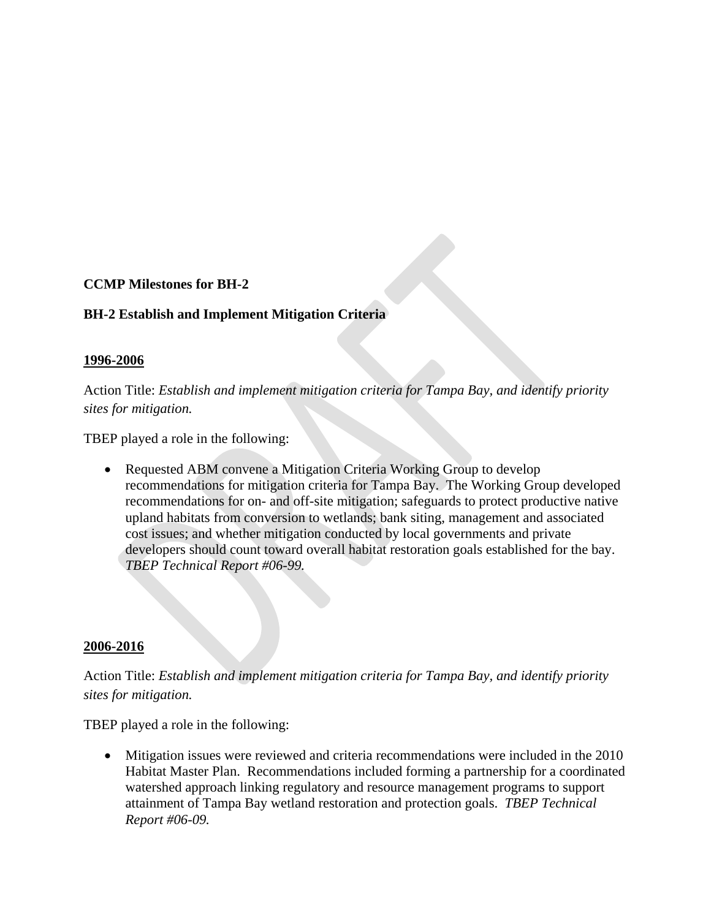# **CCMP Milestones for BH-2**

# **BH-2 Establish and Implement Mitigation Criteria**

### **1996-2006**

Action Title: *Establish and implement mitigation criteria for Tampa Bay, and identify priority sites for mitigation.*

TBEP played a role in the following:

• Requested ABM convene a Mitigation Criteria Working Group to develop recommendations for mitigation criteria for Tampa Bay. The Working Group developed recommendations for on- and off-site mitigation; safeguards to protect productive native upland habitats from conversion to wetlands; bank siting, management and associated cost issues; and whether mitigation conducted by local governments and private developers should count toward overall habitat restoration goals established for the bay. *TBEP Technical Report #06-99.*

### **2006-2016**

Action Title: *Establish and implement mitigation criteria for Tampa Bay, and identify priority sites for mitigation.*

TBEP played a role in the following:

• Mitigation issues were reviewed and criteria recommendations were included in the 2010 Habitat Master Plan. Recommendations included forming a partnership for a coordinated watershed approach linking regulatory and resource management programs to support attainment of Tampa Bay wetland restoration and protection goals. *TBEP Technical Report #06-09.*